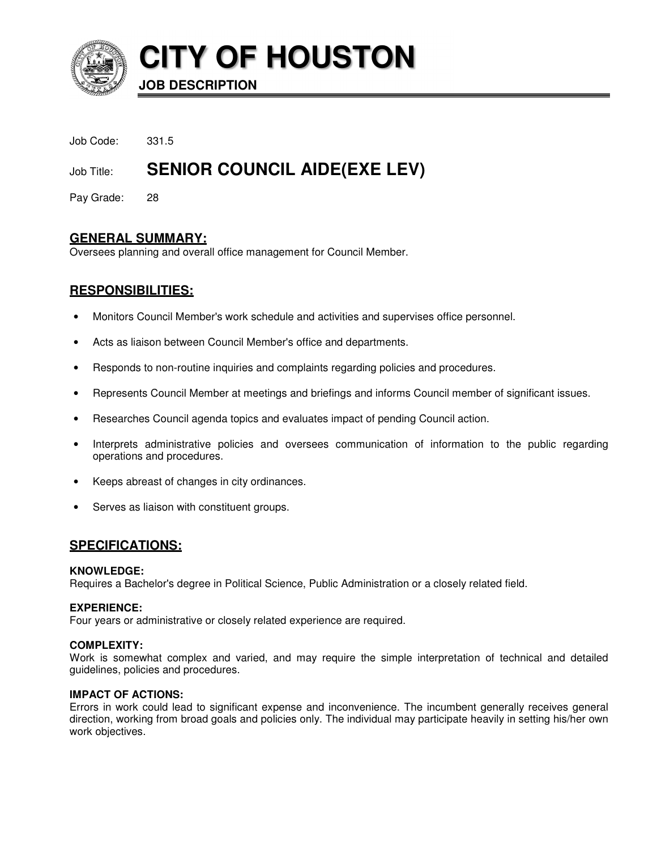

**CITY OF HOUSTON**

**JOB DESCRIPTION** 

Job Code: 331.5

# Job Title: **SENIOR COUNCIL AIDE(EXE LEV)**

Pay Grade: 28

# **GENERAL SUMMARY:**

Oversees planning and overall office management for Council Member.

# **RESPONSIBILITIES:**

- Monitors Council Member's work schedule and activities and supervises office personnel.
- Acts as liaison between Council Member's office and departments.
- Responds to non-routine inquiries and complaints regarding policies and procedures.
- Represents Council Member at meetings and briefings and informs Council member of significant issues.
- Researches Council agenda topics and evaluates impact of pending Council action.
- Interprets administrative policies and oversees communication of information to the public regarding operations and procedures.
- Keeps abreast of changes in city ordinances.
- Serves as liaison with constituent groups.

# **SPECIFICATIONS:**

# **KNOWLEDGE:**

Requires a Bachelor's degree in Political Science, Public Administration or a closely related field.

# **EXPERIENCE:**

Four years or administrative or closely related experience are required.

# **COMPLEXITY:**

Work is somewhat complex and varied, and may require the simple interpretation of technical and detailed guidelines, policies and procedures.

# **IMPACT OF ACTIONS:**

Errors in work could lead to significant expense and inconvenience. The incumbent generally receives general direction, working from broad goals and policies only. The individual may participate heavily in setting his/her own work objectives.